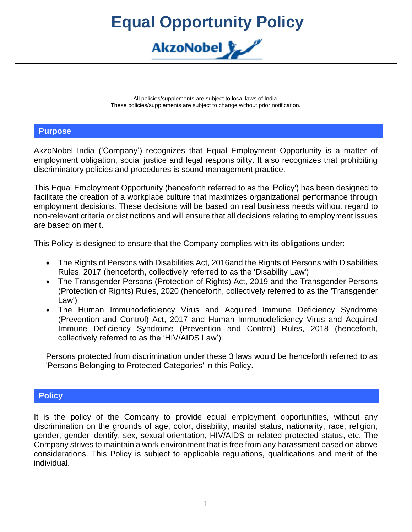All policies/supplements are subject to local laws of India. These policies/supplements are subject to change without prior notification.

#### **Purpose**

AkzoNobel India ('Company') recognizes that Equal Employment Opportunity is a matter of employment obligation, social justice and legal responsibility. It also recognizes that prohibiting discriminatory policies and procedures is sound management practice.

This Equal Employment Opportunity (henceforth referred to as the 'Policy') has been designed to facilitate the creation of a workplace culture that maximizes organizational performance through employment decisions. These decisions will be based on real business needs without regard to non-relevant criteria or distinctions and will ensure that all decisions relating to employment issues are based on merit.

This Policy is designed to ensure that the Company complies with its obligations under:

- The Rights of Persons with Disabilities Act, 2016and the Rights of Persons with Disabilities Rules, 2017 (henceforth, collectively referred to as the 'Disability Law')
- The Transgender Persons (Protection of Rights) Act, 2019 and the Transgender Persons (Protection of Rights) Rules, 2020 (henceforth, collectively referred to as the 'Transgender Law')
- The Human Immunodeficiency Virus and Acquired Immune Deficiency Syndrome (Prevention and Control) Act, 2017 and Human Immunodeficiency Virus and Acquired Immune Deficiency Syndrome (Prevention and Control) Rules, 2018 (henceforth, collectively referred to as the 'HIV/AIDS Law').

Persons protected from discrimination under these 3 laws would be henceforth referred to as 'Persons Belonging to Protected Categories' in this Policy.

#### **Policy**

It is the policy of the Company to provide equal employment opportunities, without any discrimination on the grounds of age, color, disability, marital status, nationality, race, religion, gender, gender identify, sex, sexual orientation, HIV/AIDS or related protected status, etc. The Company strives to maintain a work environment that is free from any harassment based on above considerations. This Policy is subject to applicable regulations, qualifications and merit of the individual.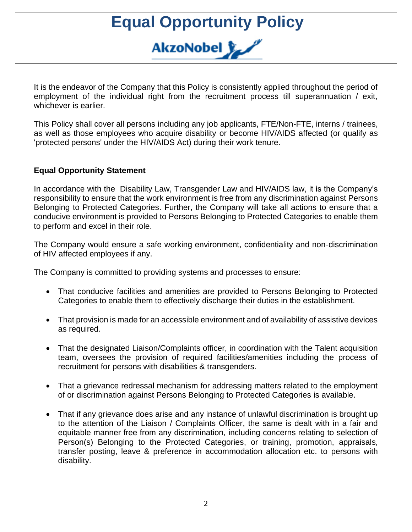It is the endeavor of the Company that this Policy is consistently applied throughout the period of employment of the individual right from the recruitment process till superannuation / exit, whichever is earlier.

This Policy shall cover all persons including any job applicants, FTE/Non-FTE, interns / trainees, as well as those employees who acquire disability or become HIV/AIDS affected (or qualify as 'protected persons' under the HIV/AIDS Act) during their work tenure.

#### **Equal Opportunity Statement**

In accordance with the Disability Law, Transgender Law and HIV/AIDS law, it is the Company's responsibility to ensure that the work environment is free from any discrimination against Persons Belonging to Protected Categories. Further, the Company will take all actions to ensure that a conducive environment is provided to Persons Belonging to Protected Categories to enable them to perform and excel in their role.

The Company would ensure a safe working environment, confidentiality and non-discrimination of HIV affected employees if any.

The Company is committed to providing systems and processes to ensure:

- That conducive facilities and amenities are provided to Persons Belonging to Protected Categories to enable them to effectively discharge their duties in the establishment.
- That provision is made for an accessible environment and of availability of assistive devices as required.
- That the designated Liaison/Complaints officer, in coordination with the Talent acquisition team, oversees the provision of required facilities/amenities including the process of recruitment for persons with disabilities & transgenders.
- That a grievance redressal mechanism for addressing matters related to the employment of or discrimination against Persons Belonging to Protected Categories is available.
- That if any grievance does arise and any instance of unlawful discrimination is brought up to the attention of the Liaison / Complaints Officer, the same is dealt with in a fair and equitable manner free from any discrimination, including concerns relating to selection of Person(s) Belonging to the Protected Categories, or training, promotion, appraisals, transfer posting, leave & preference in accommodation allocation etc. to persons with disability.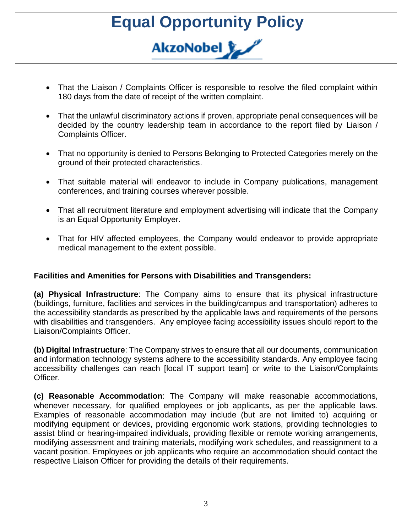- That the Liaison / Complaints Officer is responsible to resolve the filed complaint within 180 days from the date of receipt of the written complaint.
- That the unlawful discriminatory actions if proven, appropriate penal consequences will be decided by the country leadership team in accordance to the report filed by Liaison / Complaints Officer.
- That no opportunity is denied to Persons Belonging to Protected Categories merely on the ground of their protected characteristics.
- That suitable material will endeavor to include in Company publications, management conferences, and training courses wherever possible.
- That all recruitment literature and employment advertising will indicate that the Company is an Equal Opportunity Employer.
- That for HIV affected employees, the Company would endeavor to provide appropriate medical management to the extent possible.

#### **Facilities and Amenities for Persons with Disabilities and Transgenders:**

**(a) Physical Infrastructure**: The Company aims to ensure that its physical infrastructure (buildings, furniture, facilities and services in the building/campus and transportation) adheres to the accessibility standards as prescribed by the applicable laws and requirements of the persons with disabilities and transgenders. Any employee facing accessibility issues should report to the Liaison/Complaints Officer.

**(b) Digital Infrastructure**: The Company strives to ensure that all our documents, communication and information technology systems adhere to the accessibility standards. Any employee facing accessibility challenges can reach [local IT support team] or write to the Liaison/Complaints Officer.

**(c) Reasonable Accommodation**: The Company will make reasonable accommodations, whenever necessary, for qualified employees or job applicants, as per the applicable laws. Examples of reasonable accommodation may include (but are not limited to) acquiring or modifying equipment or devices, providing ergonomic work stations, providing technologies to assist blind or hearing-impaired individuals, providing flexible or remote working arrangements, modifying assessment and training materials, modifying work schedules, and reassignment to a vacant position. Employees or job applicants who require an accommodation should contact the respective Liaison Officer for providing the details of their requirements.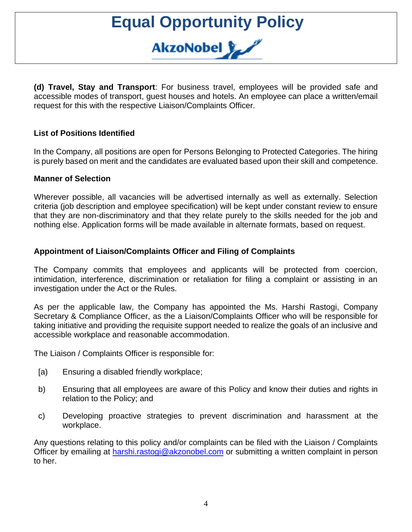**(d) Travel, Stay and Transport**: For business travel, employees will be provided safe and accessible modes of transport, guest houses and hotels. An employee can place a written/email request for this with the respective Liaison/Complaints Officer.

#### **List of Positions Identified**

In the Company, all positions are open for Persons Belonging to Protected Categories. The hiring is purely based on merit and the candidates are evaluated based upon their skill and competence.

#### **Manner of Selection**

Wherever possible, all vacancies will be advertised internally as well as externally. Selection criteria (job description and employee specification) will be kept under constant review to ensure that they are non-discriminatory and that they relate purely to the skills needed for the job and nothing else. Application forms will be made available in alternate formats, based on request.

#### **Appointment of Liaison/Complaints Officer and Filing of Complaints**

The Company commits that employees and applicants will be protected from coercion, intimidation, interference, discrimination or retaliation for filing a complaint or assisting in an investigation under the Act or the Rules.

As per the applicable law, the Company has appointed the Ms. Harshi Rastogi, Company Secretary & Compliance Officer, as the a Liaison/Complaints Officer who will be responsible for taking initiative and providing the requisite support needed to realize the goals of an inclusive and accessible workplace and reasonable accommodation.

The Liaison / Complaints Officer is responsible for:

- [a) Ensuring a disabled friendly workplace;
- b) Ensuring that all employees are aware of this Policy and know their duties and rights in relation to the Policy; and
- c) Developing proactive strategies to prevent discrimination and harassment at the workplace.

Any questions relating to this policy and/or complaints can be filed with the Liaison / Complaints Officer by emailing at [harshi.rastogi@akzonobel.com](mailto:harshi.rastogi@akzonobel.com) or submitting a written complaint in person to her.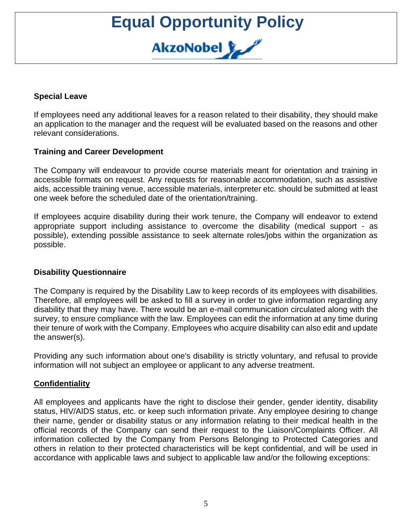#### **Special Leave**

If employees need any additional leaves for a reason related to their disability, they should make an application to the manager and the request will be evaluated based on the reasons and other relevant considerations.

#### **Training and Career Development**

The Company will endeavour to provide course materials meant for orientation and training in accessible formats on request. Any requests for reasonable accommodation, such as assistive aids, accessible training venue, accessible materials, interpreter etc. should be submitted at least one week before the scheduled date of the orientation/training.

If employees acquire disability during their work tenure, the Company will endeavor to extend appropriate support including assistance to overcome the disability (medical support - as possible), extending possible assistance to seek alternate roles/jobs within the organization as possible.

#### **Disability Questionnaire**

The Company is required by the Disability Law to keep records of its employees with disabilities. Therefore, all employees will be asked to fill a survey in order to give information regarding any disability that they may have. There would be an e-mail communication circulated along with the survey, to ensure compliance with the law. Employees can edit the information at any time during their tenure of work with the Company. Employees who acquire disability can also edit and update the answer(s).

Providing any such information about one's disability is strictly voluntary, and refusal to provide information will not subject an employee or applicant to any adverse treatment.

#### **Confidentiality**

All employees and applicants have the right to disclose their gender, gender identity, disability status, HIV/AIDS status, etc. or keep such information private. Any employee desiring to change their name, gender or disability status or any information relating to their medical health in the official records of the Company can send their request to the Liaison/Complaints Officer. All information collected by the Company from Persons Belonging to Protected Categories and others in relation to their protected characteristics will be kept confidential, and will be used in accordance with applicable laws and subject to applicable law and/or the following exceptions: